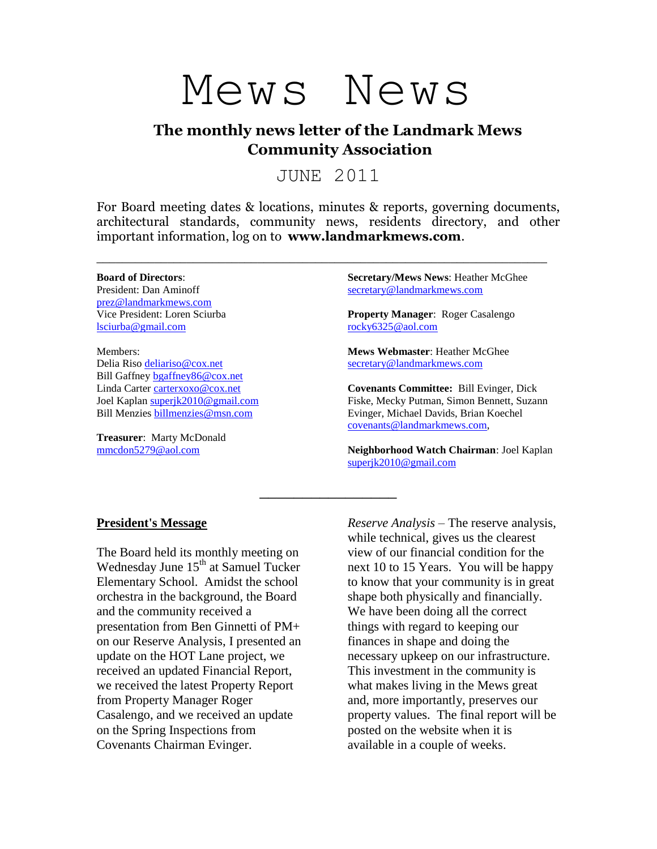

# **The monthly news letter of the Landmark Mews Community Association**

JUNE 2011

For Board meeting dates & locations, minutes & reports, governing documents, architectural standards, community news, residents directory, and other important information, log on to **www.landmarkmews.com**.

\_\_\_\_\_\_\_\_\_\_\_\_\_\_\_\_\_\_\_\_\_\_\_\_\_\_\_\_\_\_\_\_\_\_\_\_\_\_\_\_\_\_\_\_\_\_\_\_\_\_\_\_\_\_\_\_\_\_\_\_\_\_\_\_\_\_\_\_\_\_

\_\_\_\_\_\_\_\_\_\_\_\_\_\_\_\_

#### **Board of Directors**:

President: Dan Aminoff [prez@landmarkmews.com](file:///C:/Documents%20and%20Settings/hmcghee/Local%20Settings/Temporary%20Internet%20Files/Content.IE5/C7SWZDPL/prez@landmarkmews.com) Vice President: Loren Sciurba [lsciurba@gmail.com](file:///C:/Documents%20and%20Settings/hmcghee/Local%20Settings/Temporary%20Internet%20Files/Content.IE5/UJ34L0H5/lsciurba@gmail.com)

Members: Delia Riso [deliariso@cox.net](mailto:deliariso@cox.net) Bill Gaffney [bgaffney86@cox.net](mailto:bgaffney86@cox.net) Linda Carter [carterxoxo@cox.net](mailto:carterxoxo@cox.net) Joel Kaplan [superjk2010@gmail.com](mailto:superjk2010@gmail.com) Bill Menzies [billmenzies@msn.com](file:///D:/Mews%20News/billmenzies@msn.com)

**Treasurer**: Marty McDonald [mmcdon5279@aol.com](mailto:mmcdon5279@aol.com)

**Secretary/Mews News**: Heather McGhee [secretary@landmarkmews.com](mailto:secretary@landmarkmews.com)

**Property Manager**: Roger Casalengo [rocky6325@aol.com](mailto:rocky6325@aol.com)

**Mews Webmaster**: Heather McGhee [secretary@landmarkmews.com](mailto:secretary@landmarkmews.com)

**Covenants Committee:** Bill Evinger, Dick Fiske, Mecky Putman, Simon Bennett, Suzann Evinger, Michael Davids, Brian Koechel [covenants@landmarkmews.com,](file:///C:/Documents%20and%20Settings/hmcghee/Local%20Settings/Temporary%20Internet%20Files/Content.IE5/C7SWZDPL/covenants@landmarkmews.com)

**Neighborhood Watch Chairman**: Joel Kaplan [superjk2010@gmail.com](mailto:superjk2010@gmail.com)

### **President's Message**

The Board held its monthly meeting on Wednesday June 15<sup>th</sup> at Samuel Tucker Elementary School. Amidst the school orchestra in the background, the Board and the community received a presentation from Ben Ginnetti of PM+ on our Reserve Analysis, I presented an update on the HOT Lane project, we received an updated Financial Report, we received the latest Property Report from Property Manager Roger Casalengo, and we received an update on the Spring Inspections from Covenants Chairman Evinger.

*Reserve Analysis –* The reserve analysis, while technical, gives us the clearest view of our financial condition for the next 10 to 15 Years. You will be happy to know that your community is in great shape both physically and financially. We have been doing all the correct things with regard to keeping our finances in shape and doing the necessary upkeep on our infrastructure. This investment in the community is what makes living in the Mews great and, more importantly, preserves our property values. The final report will be posted on the website when it is available in a couple of weeks.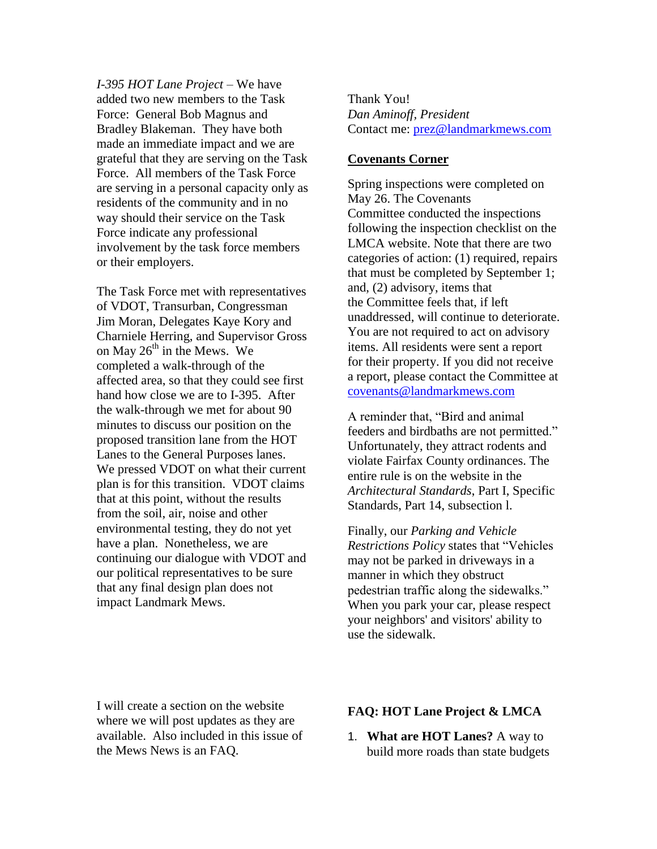*I-395 HOT Lane Project* – We have added two new members to the Task Force: General Bob Magnus and Bradley Blakeman. They have both made an immediate impact and we are grateful that they are serving on the Task Force. All members of the Task Force are serving in a personal capacity only as residents of the community and in no way should their service on the Task Force indicate any professional involvement by the task force members or their employers.

The Task Force met with representatives of VDOT, Transurban, Congressman Jim Moran, Delegates Kaye Kory and Charniele Herring, and Supervisor Gross on May  $26<sup>th</sup>$  in the Mews. We completed a walk-through of the affected area, so that they could see first hand how close we are to I-395. After the walk-through we met for about 90 minutes to discuss our position on the proposed transition lane from the HOT Lanes to the General Purposes lanes. We pressed VDOT on what their current plan is for this transition. VDOT claims that at this point, without the results from the soil, air, noise and other environmental testing, they do not yet have a plan. Nonetheless, we are continuing our dialogue with VDOT and our political representatives to be sure that any final design plan does not impact Landmark Mews.

Thank You! *Dan Aminoff, President* Contact me: [prez@landmarkmews.com](mailto:prez@landmarkmews.com)

## **Covenants Corner**

Spring inspections were completed on May 26. The Covenants Committee conducted the inspections following the inspection checklist on the LMCA website. Note that there are two categories of action: (1) required, repairs that must be completed by September 1; and, (2) advisory, items that the Committee feels that, if left unaddressed, will continue to deteriorate. You are not required to act on advisory items. All residents were sent a report for their property. If you did not receive a report, please contact the Committee at [covenants@landmarkmews.com](javascript:document.s.To.value=)

A reminder that, "Bird and animal feeders and birdbaths are not permitted." Unfortunately, they attract rodents and violate Fairfax County ordinances. The entire rule is on the website in the *Architectural Standards*, Part I, Specific Standards, Part 14, subsection l.

Finally, our *Parking and Vehicle Restrictions Policy* states that "Vehicles may not be parked in driveways in a manner in which they obstruct pedestrian traffic along the sidewalks." When you park your car, please respect your neighbors' and visitors' ability to use the sidewalk.

I will create a section on the website where we will post updates as they are available. Also included in this issue of the Mews News is an FAQ.

### **FAQ: HOT Lane Project & LMCA**

1. **What are HOT Lanes?** A way to build more roads than state budgets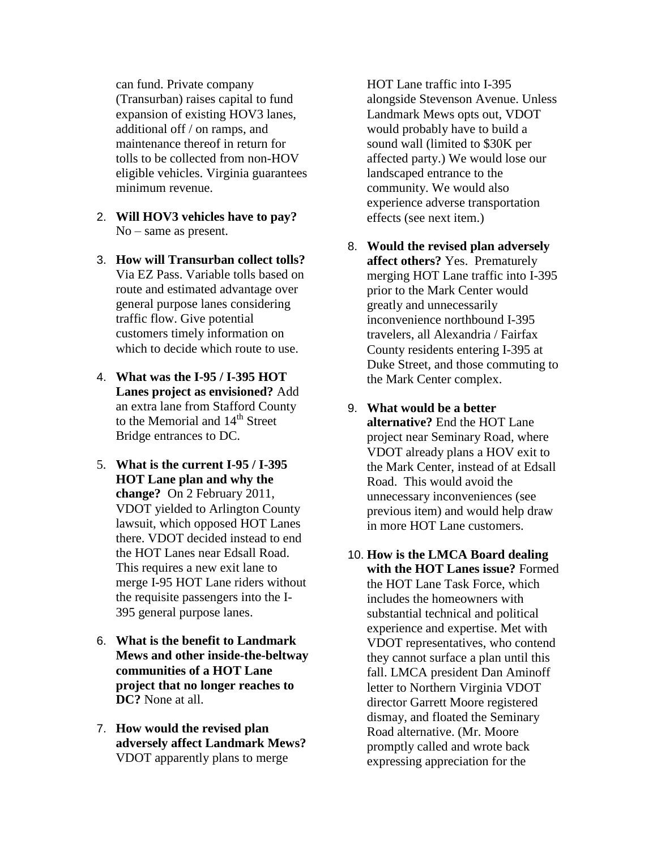can fund. Private company (Transurban) raises capital to fund expansion of existing HOV3 lanes, additional off / on ramps, and maintenance thereof in return for tolls to be collected from non-HOV eligible vehicles. Virginia guarantees minimum revenue.

- 2. **Will HOV3 vehicles have to pay?** No – same as present.
- 3. **How will Transurban collect tolls?** Via EZ Pass. Variable tolls based on route and estimated advantage over general purpose lanes considering traffic flow. Give potential customers timely information on which to decide which route to use.
- 4. **What was the I-95 / I-395 HOT Lanes project as envisioned?** Add an extra lane from Stafford County to the Memorial and 14<sup>th</sup> Street Bridge entrances to DC.
- 5. **What is the current I-95 / I-395 HOT Lane plan and why the change?** On 2 February 2011, VDOT yielded to Arlington County lawsuit, which opposed HOT Lanes there. VDOT decided instead to end the HOT Lanes near Edsall Road. This requires a new exit lane to merge I-95 HOT Lane riders without the requisite passengers into the I-395 general purpose lanes.
- 6. **What is the benefit to Landmark Mews and other inside-the-beltway communities of a HOT Lane project that no longer reaches to DC?** None at all.
- 7. **How would the revised plan adversely affect Landmark Mews?** VDOT apparently plans to merge

HOT Lane traffic into I-395 alongside Stevenson Avenue. Unless Landmark Mews opts out, VDOT would probably have to build a sound wall (limited to \$30K per affected party.) We would lose our landscaped entrance to the community. We would also experience adverse transportation effects (see next item.)

- 8. **Would the revised plan adversely affect others?** Yes. Prematurely merging HOT Lane traffic into I-395 prior to the Mark Center would greatly and unnecessarily inconvenience northbound I-395 travelers, all Alexandria / Fairfax County residents entering I-395 at Duke Street, and those commuting to the Mark Center complex.
- 9. **What would be a better alternative?** End the HOT Lane project near Seminary Road, where VDOT already plans a HOV exit to the Mark Center, instead of at Edsall Road. This would avoid the unnecessary inconveniences (see previous item) and would help draw in more HOT Lane customers.
- 10. **How is the LMCA Board dealing with the HOT Lanes issue?** Formed the HOT Lane Task Force, which includes the homeowners with substantial technical and political experience and expertise. Met with VDOT representatives, who contend they cannot surface a plan until this fall. LMCA president Dan Aminoff letter to Northern Virginia VDOT director Garrett Moore registered dismay, and floated the Seminary Road alternative. (Mr. Moore promptly called and wrote back expressing appreciation for the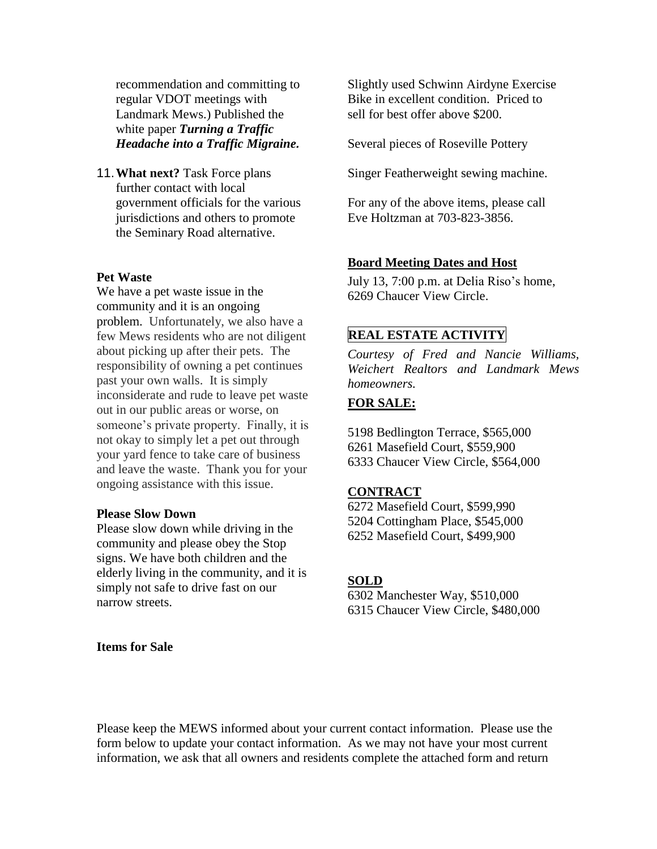recommendation and committing to regular VDOT meetings with Landmark Mews.) Published the white paper *Turning a Traffic Headache into a Traffic Migraine.*

11.**What next?** Task Force plans further contact with local government officials for the various jurisdictions and others to promote the Seminary Road alternative.

# **Pet Waste**

We have a pet waste issue in the community and it is an ongoing problem. Unfortunately, we also have a few Mews residents who are not diligent about picking up after their pets. The responsibility of owning a pet continues past your own walls. It is simply inconsiderate and rude to leave pet waste out in our public areas or worse, on someone's private property. Finally, it is not okay to simply let a pet out through your yard fence to take care of business and leave the waste. Thank you for your ongoing assistance with this issue.

## **Please Slow Down**

Please slow down while driving in the community and please obey the Stop signs. We have both children and the elderly living in the community, and it is simply not safe to drive fast on our narrow streets.

**Items for Sale**

Slightly used Schwinn Airdyne Exercise Bike in excellent condition. Priced to sell for best offer above \$200.

Several pieces of Roseville Pottery

Singer Featherweight sewing machine.

For any of the above items, please call Eve Holtzman at 703-823-3856.

#### **Board Meeting Dates and Host**

July 13, 7:00 p.m. at Delia Riso's home, 6269 Chaucer View Circle.

## **REAL ESTATE ACTIVITY**

*Courtesy of Fred and Nancie Williams, Weichert Realtors and Landmark Mews homeowners.*

## **FOR SALE:**

5198 Bedlington Terrace, \$565,000 6261 Masefield Court, \$559,900 6333 Chaucer View Circle, \$564,000

#### **CONTRACT**

6272 Masefield Court, \$599,990 5204 Cottingham Place, \$545,000 6252 Masefield Court, \$499,900

#### **SOLD**

6302 Manchester Way, \$510,000 6315 Chaucer View Circle, \$480,000

Please keep the MEWS informed about your current contact information. Please use the form below to update your contact information. As we may not have your most current information, we ask that all owners and residents complete the attached form and return